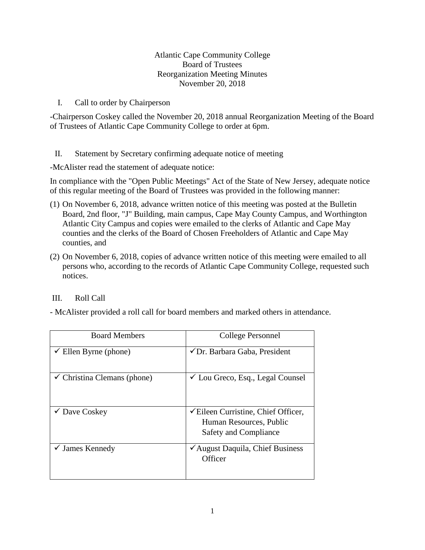## Atlantic Cape Community College Board of Trustees Reorganization Meeting Minutes November 20, 2018

### I. Call to order by Chairperson

-Chairperson Coskey called the November 20, 2018 annual Reorganization Meeting of the Board of Trustees of Atlantic Cape Community College to order at 6pm.

# II. Statement by Secretary confirming adequate notice of meeting

-McAlister read the statement of adequate notice:

In compliance with the "Open Public Meetings" Act of the State of New Jersey, adequate notice of this regular meeting of the Board of Trustees was provided in the following manner:

- (1) On November 6, 2018, advance written notice of this meeting was posted at the Bulletin Board, 2nd floor, "J" Building, main campus, Cape May County Campus, and Worthington Atlantic City Campus and copies were emailed to the clerks of Atlantic and Cape May counties and the clerks of the Board of Chosen Freeholders of Atlantic and Cape May counties, and
- (2) On November 6, 2018, copies of advance written notice of this meeting were emailed to all persons who, according to the records of Atlantic Cape Community College, requested such notices.

# III. Roll Call

- McAlister provided a roll call for board members and marked others in attendance.

| <b>Board Members</b>                   | College Personnel                                                                                  |
|----------------------------------------|----------------------------------------------------------------------------------------------------|
| $\checkmark$ Ellen Byrne (phone)       | $\checkmark$ Dr. Barbara Gaba, President                                                           |
| $\checkmark$ Christina Clemans (phone) | $\checkmark$ Lou Greco, Esq., Legal Counsel                                                        |
| $\checkmark$ Dave Coskey               | $\checkmark$ Eileen Curristine, Chief Officer,<br>Human Resources, Public<br>Safety and Compliance |
| $\checkmark$ James Kennedy             | <del></del> ∕ August Daquila, Chief Business<br>Officer                                            |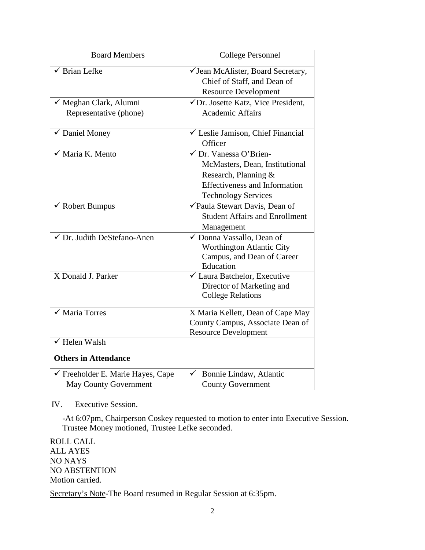| <b>Board Members</b>                         | <b>College Personnel</b>                                                                         |
|----------------------------------------------|--------------------------------------------------------------------------------------------------|
| $\checkmark$ Brian Lefke                     | √ Jean McAlister, Board Secretary,<br>Chief of Staff, and Dean of<br><b>Resource Development</b> |
| ✓ Meghan Clark, Alumni                       | √Dr. Josette Katz, Vice President,                                                               |
| Representative (phone)                       | <b>Academic Affairs</b>                                                                          |
| ✔ Daniel Money                               | └ Leslie Jamison, Chief Financial<br>Officer                                                     |
| √ Maria K. Mento                             | √ Dr. Vanessa O'Brien-                                                                           |
|                                              | McMasters, Dean, Institutional                                                                   |
|                                              | Research, Planning &                                                                             |
|                                              | <b>Effectiveness and Information</b>                                                             |
|                                              | <b>Technology Services</b>                                                                       |
| $\checkmark$ Robert Bumpus                   | √Paula Stewart Davis, Dean of                                                                    |
|                                              | <b>Student Affairs and Enrollment</b>                                                            |
|                                              | Management                                                                                       |
| √ Dr. Judith DeStefano-Anen                  | ✓ Donna Vassallo, Dean of                                                                        |
|                                              | Worthington Atlantic City                                                                        |
|                                              | Campus, and Dean of Career                                                                       |
| X Donald J. Parker                           | Education                                                                                        |
|                                              | ✔ Laura Batchelor, Executive<br>Director of Marketing and                                        |
|                                              | <b>College Relations</b>                                                                         |
|                                              |                                                                                                  |
| $\sqrt{\phantom{a}}$ Maria Torres            | X Maria Kellett, Dean of Cape May                                                                |
|                                              | County Campus, Associate Dean of                                                                 |
|                                              | <b>Resource Development</b>                                                                      |
| $\checkmark$ Helen Walsh                     |                                                                                                  |
| <b>Others in Attendance</b>                  |                                                                                                  |
| $\checkmark$ Freeholder E. Marie Hayes, Cape | Bonnie Lindaw, Atlantic                                                                          |
| <b>May County Government</b>                 | <b>County Government</b>                                                                         |

IV. Executive Session.

-At 6:07pm, Chairperson Coskey requested to motion to enter into Executive Session. Trustee Money motioned, Trustee Lefke seconded.

ROLL CALL ALL AYES NO NAYS NO ABSTENTION Motion carried.

Secretary's Note-The Board resumed in Regular Session at 6:35pm.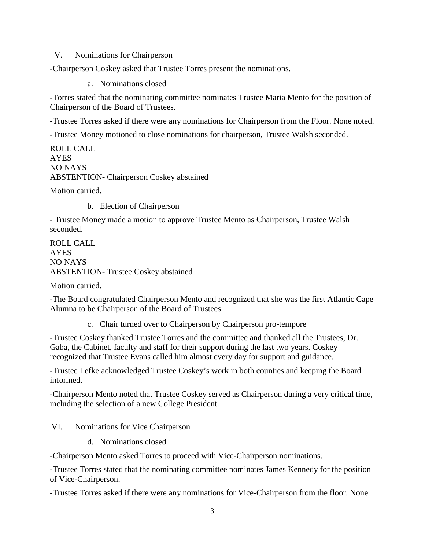V. Nominations for Chairperson

-Chairperson Coskey asked that Trustee Torres present the nominations.

a. Nominations closed

-Torres stated that the nominating committee nominates Trustee Maria Mento for the position of Chairperson of the Board of Trustees.

-Trustee Torres asked if there were any nominations for Chairperson from the Floor. None noted.

-Trustee Money motioned to close nominations for chairperson, Trustee Walsh seconded.

ROLL CALL AYES NO NAYS ABSTENTION- Chairperson Coskey abstained

Motion carried.

b. Election of Chairperson

- Trustee Money made a motion to approve Trustee Mento as Chairperson, Trustee Walsh seconded.

ROLL CALL AYES NO NAYS ABSTENTION- Trustee Coskey abstained

Motion carried.

-The Board congratulated Chairperson Mento and recognized that she was the first Atlantic Cape Alumna to be Chairperson of the Board of Trustees.

c. Chair turned over to Chairperson by Chairperson pro-tempore

-Trustee Coskey thanked Trustee Torres and the committee and thanked all the Trustees, Dr. Gaba, the Cabinet, faculty and staff for their support during the last two years. Coskey recognized that Trustee Evans called him almost every day for support and guidance.

-Trustee Lefke acknowledged Trustee Coskey's work in both counties and keeping the Board informed.

-Chairperson Mento noted that Trustee Coskey served as Chairperson during a very critical time, including the selection of a new College President.

VI. Nominations for Vice Chairperson

d. Nominations closed

-Chairperson Mento asked Torres to proceed with Vice-Chairperson nominations.

-Trustee Torres stated that the nominating committee nominates James Kennedy for the position of Vice-Chairperson.

-Trustee Torres asked if there were any nominations for Vice-Chairperson from the floor. None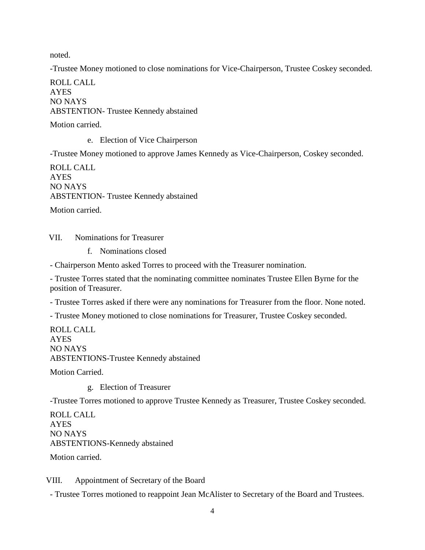noted.

-Trustee Money motioned to close nominations for Vice-Chairperson, Trustee Coskey seconded.

ROLL CALL AYES NO NAYS ABSTENTION- Trustee Kennedy abstained

Motion carried.

e. Election of Vice Chairperson

-Trustee Money motioned to approve James Kennedy as Vice-Chairperson, Coskey seconded.

ROLL CALL AYES NO NAYS ABSTENTION- Trustee Kennedy abstained Motion carried.

VII. Nominations for Treasurer

f. Nominations closed

- Chairperson Mento asked Torres to proceed with the Treasurer nomination.

- Trustee Torres stated that the nominating committee nominates Trustee Ellen Byrne for the position of Treasurer.

- Trustee Torres asked if there were any nominations for Treasurer from the floor. None noted.

- Trustee Money motioned to close nominations for Treasurer, Trustee Coskey seconded.

ROLL CALL AYES NO NAYS ABSTENTIONS-Trustee Kennedy abstained

Motion Carried.

g. Election of Treasurer

-Trustee Torres motioned to approve Trustee Kennedy as Treasurer, Trustee Coskey seconded.

ROLL CALL AYES NO NAYS ABSTENTIONS-Kennedy abstained Motion carried.

VIII. Appointment of Secretary of the Board

- Trustee Torres motioned to reappoint Jean McAlister to Secretary of the Board and Trustees.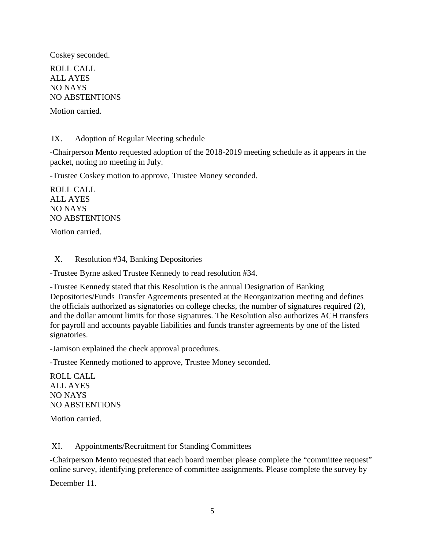Coskey seconded.

ROLL CALL ALL AYES NO NAYS NO ABSTENTIONS

Motion carried.

IX. Adoption of Regular Meeting schedule

-Chairperson Mento requested adoption of the 2018-2019 meeting schedule as it appears in the packet, noting no meeting in July.

-Trustee Coskey motion to approve, Trustee Money seconded.

ROLL CALL ALL AYES NO NAYS NO ABSTENTIONS

Motion carried.

## X. Resolution #34, Banking Depositories

-Trustee Byrne asked Trustee Kennedy to read resolution #34.

-Trustee Kennedy stated that this Resolution is the annual Designation of Banking Depositories/Funds Transfer Agreements presented at the Reorganization meeting and defines the officials authorized as signatories on college checks, the number of signatures required (2), and the dollar amount limits for those signatures. The Resolution also authorizes ACH transfers for payroll and accounts payable liabilities and funds transfer agreements by one of the listed signatories.

-Jamison explained the check approval procedures.

-Trustee Kennedy motioned to approve, Trustee Money seconded.

ROLL CALL ALL AYES NO NAYS NO ABSTENTIONS

Motion carried.

XI. Appointments/Recruitment for Standing Committees

-Chairperson Mento requested that each board member please complete the "committee request" online survey, identifying preference of committee assignments. Please complete the survey by

December 11.